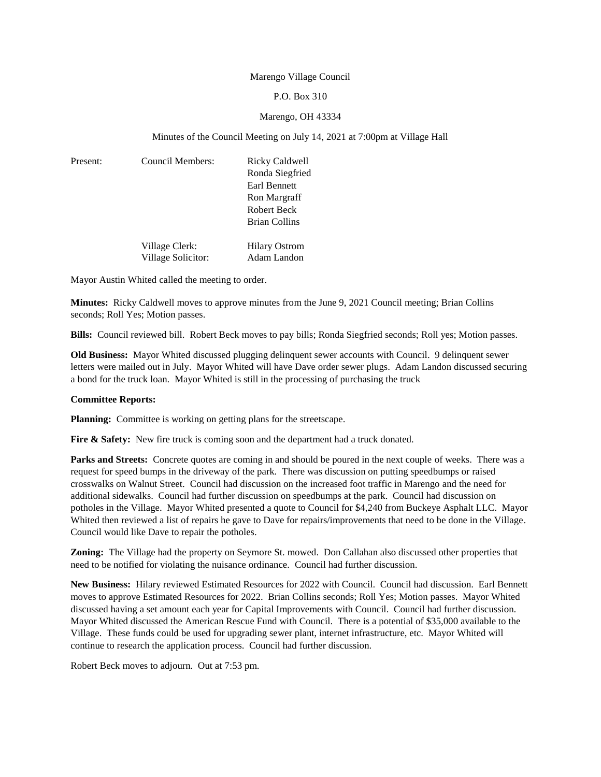#### Marengo Village Council

### P.O. Box 310

#### Marengo, OH 43334

#### Minutes of the Council Meeting on July 14, 2021 at 7:00pm at Village Hall

| Present: | Council Members: | Ricky Caldwell       |
|----------|------------------|----------------------|
|          |                  | Ronda Siegfried      |
|          |                  | Earl Bennett         |
|          |                  | Ron Margraff         |
|          |                  | Robert Beck          |
|          |                  | <b>Brian Collins</b> |
|          | Village Clerk:   | <b>Hilary Ostrom</b> |

Village Solicitor: Adam Landon

Mayor Austin Whited called the meeting to order.

**Minutes:** Ricky Caldwell moves to approve minutes from the June 9, 2021 Council meeting; Brian Collins seconds; Roll Yes; Motion passes.

**Bills:** Council reviewed bill. Robert Beck moves to pay bills; Ronda Siegfried seconds; Roll yes; Motion passes.

**Old Business:** Mayor Whited discussed plugging delinquent sewer accounts with Council. 9 delinquent sewer letters were mailed out in July. Mayor Whited will have Dave order sewer plugs. Adam Landon discussed securing a bond for the truck loan. Mayor Whited is still in the processing of purchasing the truck

#### **Committee Reports:**

**Planning:** Committee is working on getting plans for the streetscape.

**Fire & Safety:** New fire truck is coming soon and the department had a truck donated.

**Parks and Streets:** Concrete quotes are coming in and should be poured in the next couple of weeks. There was a request for speed bumps in the driveway of the park. There was discussion on putting speedbumps or raised crosswalks on Walnut Street. Council had discussion on the increased foot traffic in Marengo and the need for additional sidewalks. Council had further discussion on speedbumps at the park. Council had discussion on potholes in the Village. Mayor Whited presented a quote to Council for \$4,240 from Buckeye Asphalt LLC. Mayor Whited then reviewed a list of repairs he gave to Dave for repairs/improvements that need to be done in the Village. Council would like Dave to repair the potholes.

**Zoning:** The Village had the property on Seymore St. mowed. Don Callahan also discussed other properties that need to be notified for violating the nuisance ordinance. Council had further discussion.

**New Business:** Hilary reviewed Estimated Resources for 2022 with Council. Council had discussion. Earl Bennett moves to approve Estimated Resources for 2022. Brian Collins seconds; Roll Yes; Motion passes. Mayor Whited discussed having a set amount each year for Capital Improvements with Council. Council had further discussion. Mayor Whited discussed the American Rescue Fund with Council. There is a potential of \$35,000 available to the Village. These funds could be used for upgrading sewer plant, internet infrastructure, etc. Mayor Whited will continue to research the application process. Council had further discussion.

Robert Beck moves to adjourn. Out at 7:53 pm.